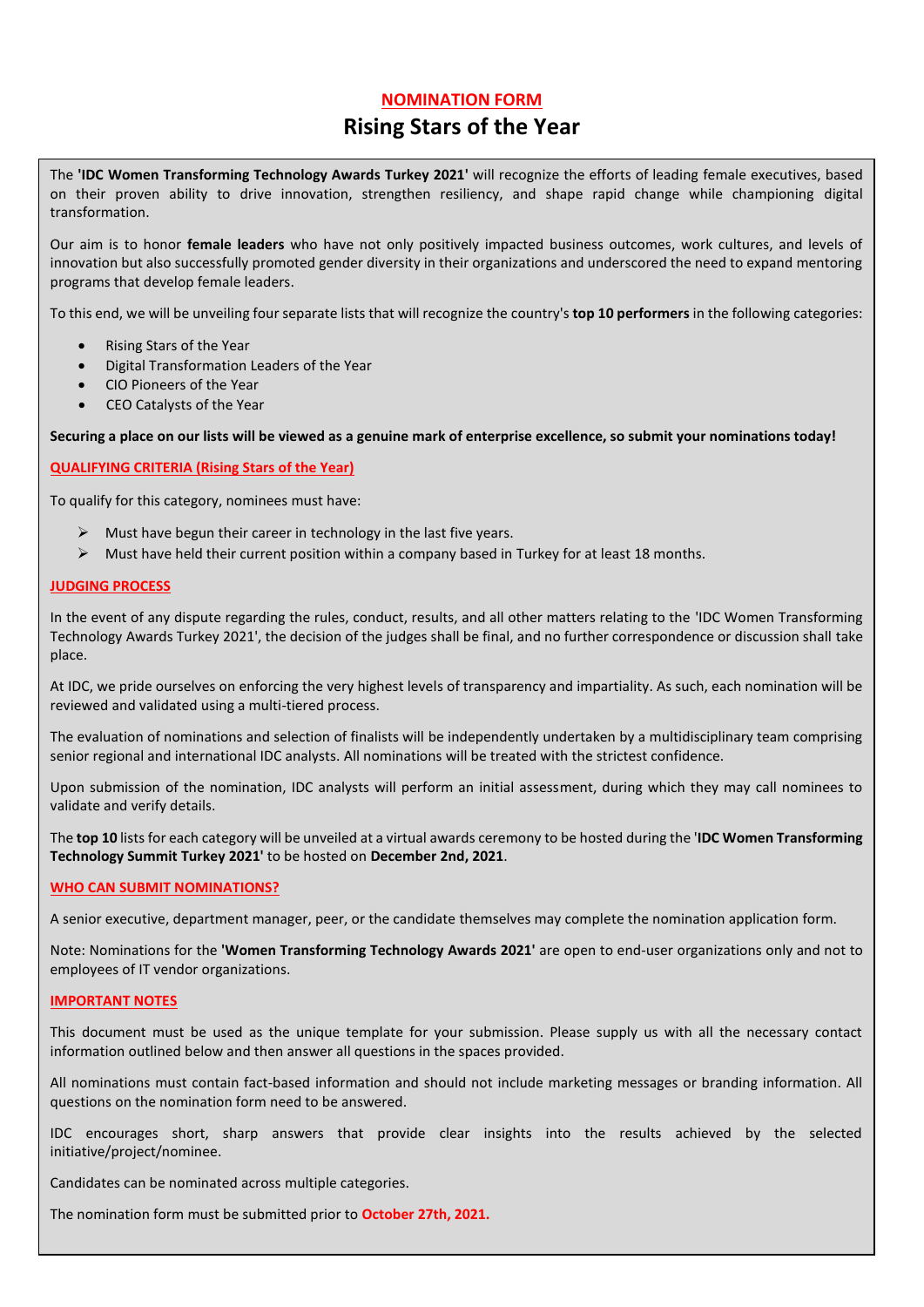# **NOMINATION FORM**

# **Rising Stars of the Year**

The **'IDC Women Transforming Technology Awards Turkey 2021'** will recognize the efforts of leading female executives, based on their proven ability to drive innovation, strengthen resiliency, and shape rapid change while championing digital transformation.

Our aim is to honor **female leaders** who have not only positively impacted business outcomes, work cultures, and levels of innovation but also successfully promoted gender diversity in their organizations and underscored the need to expand mentoring programs that develop female leaders.

To this end, we will be unveiling four separate lists that will recognize the country's **top 10 performers** in the following categories:

- Rising Stars of the Year
- Digital Transformation Leaders of the Year
- CIO Pioneers of the Year
- CEO Catalysts of the Year

**Securing a place on our lists will be viewed as a genuine mark of enterprise excellence, so submit your nominations today!**

### **QUALIFYING CRITERIA (Rising Stars of the Year)**

To qualify for this category, nominees must have:

- $\triangleright$  Must have begun their career in technology in the last five years.
- $\triangleright$  Must have held their current position within a company based in Turkey for at least 18 months.

#### **JUDGING PROCESS**

In the event of any dispute regarding the rules, conduct, results, and all other matters relating to the 'IDC Women Transforming Technology Awards Turkey 2021', the decision of the judges shall be final, and no further correspondence or discussion shall take place.

At IDC, we pride ourselves on enforcing the very highest levels of transparency and impartiality. As such, each nomination will be reviewed and validated using a multi-tiered process.

The evaluation of nominations and selection of finalists will be independently undertaken by a multidisciplinary team comprising senior regional and international IDC analysts. All nominations will be treated with the strictest confidence.

Upon submission of the nomination, IDC analysts will perform an initial assessment, during which they may call nominees to validate and verify details.

The **top 10** lists for each category will be unveiled at a virtual awards ceremony to be hosted during the '**IDC Women Transforming Technology Summit Turkey 2021'** to be hosted on **December 2nd, 2021**.

#### **WHO CAN SUBMIT NOMINATIONS?**

A senior executive, department manager, peer, or the candidate themselves may complete the nomination application form.

Note: Nominations for the **'Women Transforming Technology Awards 2021'** are open to end-user organizations only and not to employees of IT vendor organizations.

#### **IMPORTANT NOTES**

This document must be used as the unique template for your submission. Please supply us with all the necessary contact information outlined below and then answer all questions in the spaces provided.

All nominations must contain fact-based information and should not include marketing messages or branding information. All questions on the nomination form need to be answered.

IDC encourages short, sharp answers that provide clear insights into the results achieved by the selected initiative/project/nominee.

Candidates can be nominated across multiple categories.

The nomination form must be submitted prior to **October 27th, 2021.**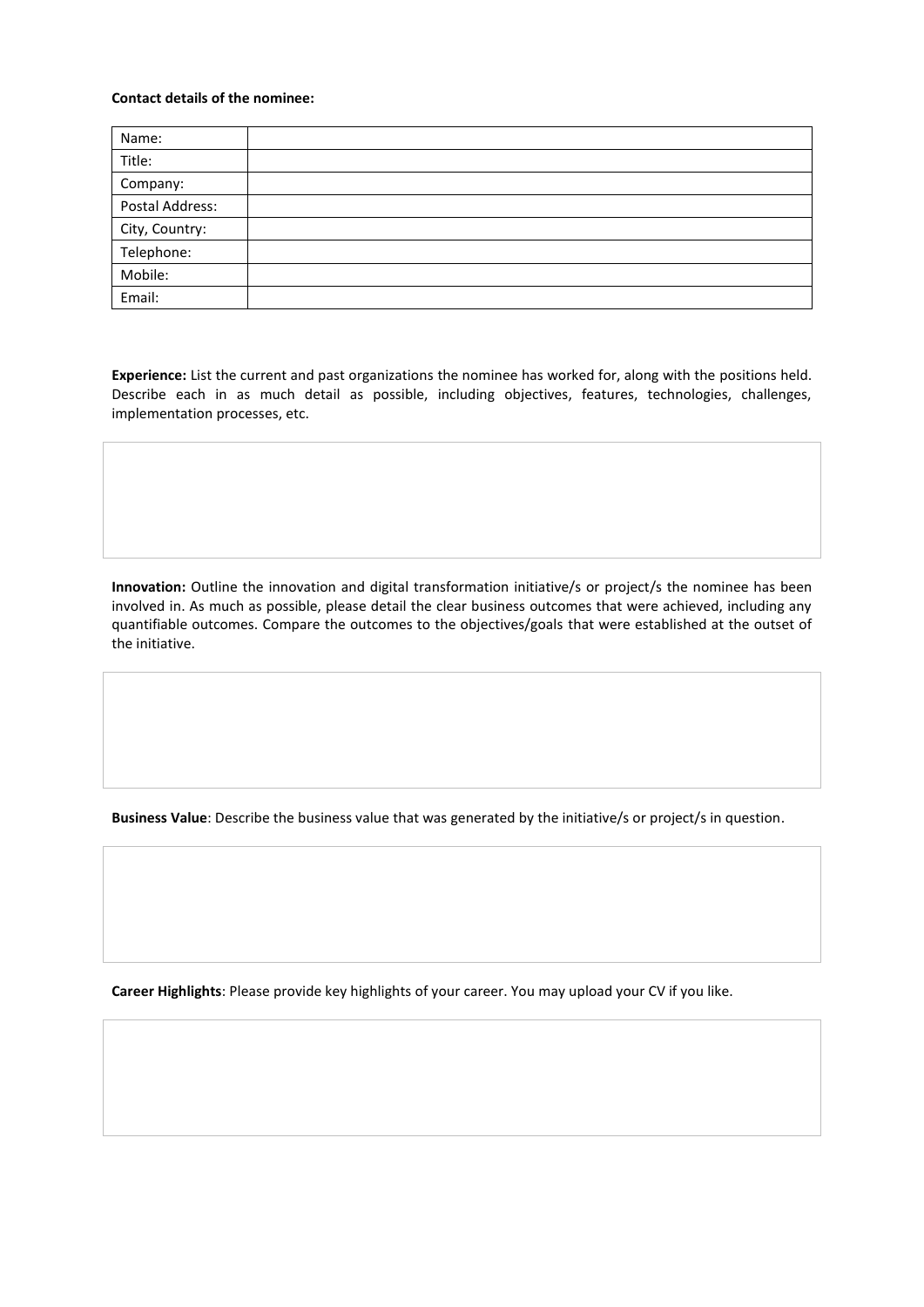# **Contact details of the nominee:**

| Name:           |  |
|-----------------|--|
| Title:          |  |
| Company:        |  |
| Postal Address: |  |
| City, Country:  |  |
| Telephone:      |  |
| Mobile:         |  |
| Email:          |  |

**Experience:** List the current and past organizations the nominee has worked for, along with the positions held. Describe each in as much detail as possible, including objectives, features, technologies, challenges, implementation processes, etc.

**Innovation:** Outline the innovation and digital transformation initiative/s or project/s the nominee has been involved in. As much as possible, please detail the clear business outcomes that were achieved, including any quantifiable outcomes. Compare the outcomes to the objectives/goals that were established at the outset of the initiative.

**Business Value**: Describe the business value that was generated by the initiative/s or project/s in question.

**Career Highlights**: Please provide key highlights of your career. You may upload your CV if you like.